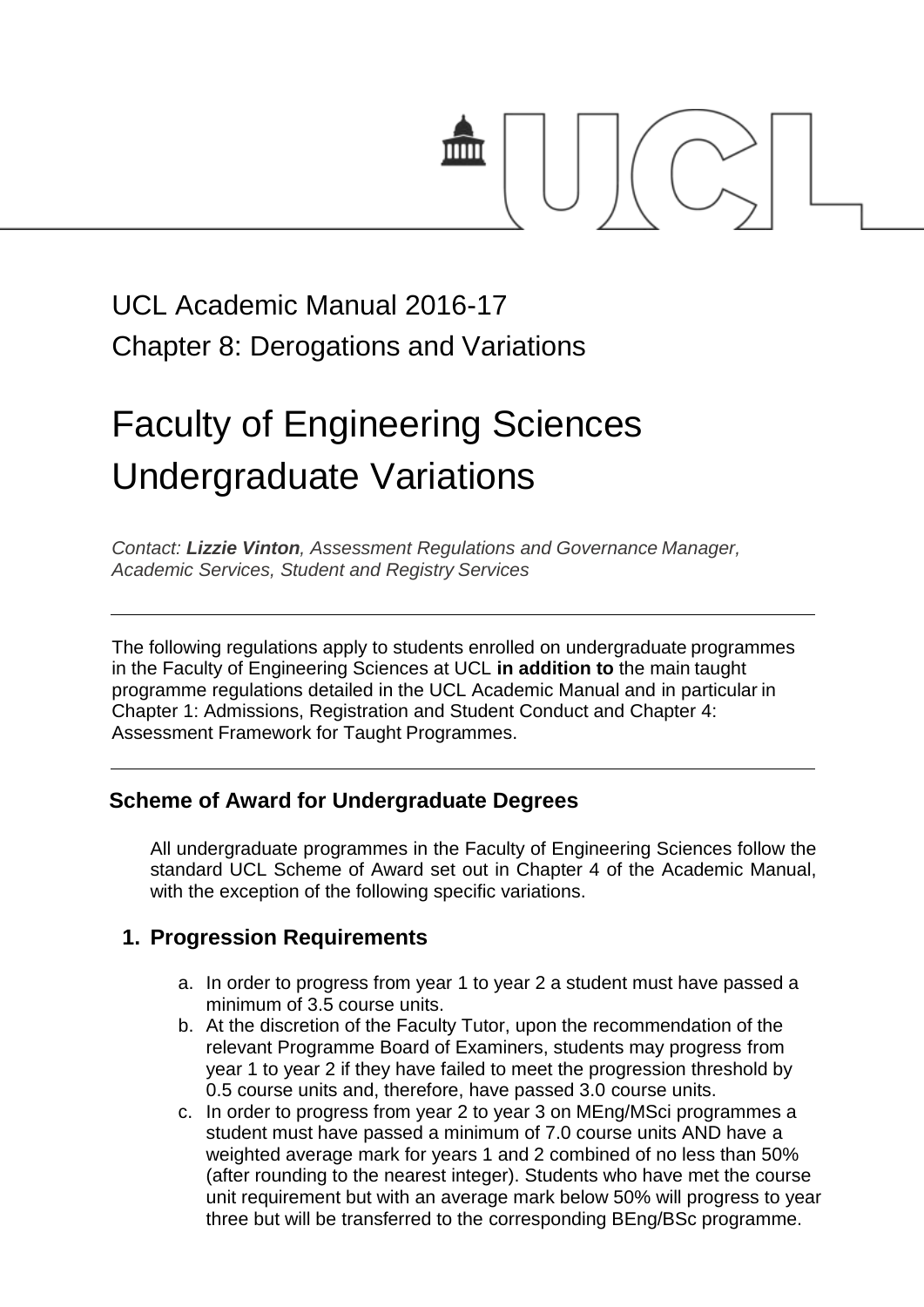

## UCL Academic Manual 2016-17 Chapter 8: Derogations and Variations

# Faculty of Engineering Sciences Undergraduate Variations

*Contact: [Lizzie Vinton](mailto:s.hinton@ucl.ac.uk), Assessment Regulations and Governance Manager, Academic Services, Student and Registry Services*

The following regulations apply to students enrolled on undergraduate programmes in the Faculty of Engineering Sciences at UCL **in addition to** the main taught programme regulations detailed in the UCL Academic Manual and in particular in Chapter 1: Admissions, Registration and Student Conduct and Chapter 4: Assessment Framework for Taught Programmes.

#### **Scheme of Award for Undergraduate Degrees**

All undergraduate programmes in the Faculty of Engineering Sciences follow the standard UCL Scheme of Award set out in Chapter 4 of the Academic Manual, with the exception of the following specific variations.

#### **1. Progression Requirements**

- a. In order to progress from year 1 to year 2 a student must have passed a minimum of 3.5 course units.
- b. At the discretion of the Faculty Tutor, upon the recommendation of the relevant Programme Board of Examiners, students may progress from year 1 to year 2 if they have failed to meet the progression threshold by 0.5 course units and, therefore, have passed 3.0 course units.
- c. In order to progress from year 2 to year 3 on MEng/MSci programmes a student must have passed a minimum of 7.0 course units AND have a weighted average mark for years 1 and 2 combined of no less than 50% (after rounding to the nearest integer). Students who have met the course unit requirement but with an average mark below 50% will progress to year three but will be transferred to the corresponding BEng/BSc programme.